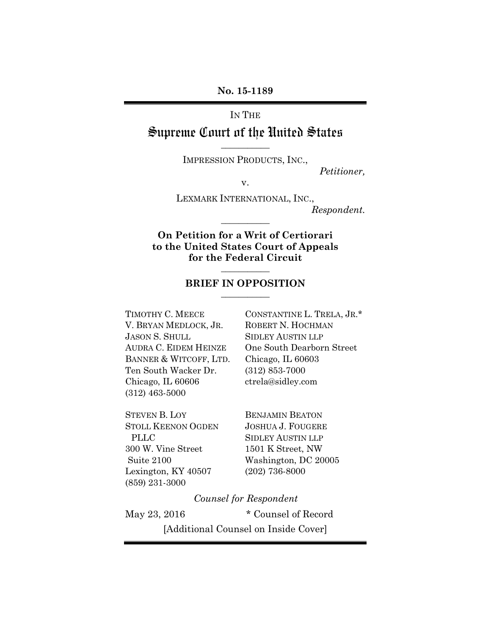## **No. 15-1189**

### IN THE

# Supreme Court of the United States **\_\_\_\_\_\_\_\_\_\_\_**

IMPRESSION PRODUCTS, INC.,

*Petitioner,*

v.

LEXMARK INTERNATIONAL, INC.,

*Respondent.*

# **On Petition for a Writ of Certiorari to the United States Court of Appeals for the Federal Circuit**

**\_\_\_\_\_\_\_\_\_\_\_**

# **\_\_\_\_\_\_\_\_\_\_\_ BRIEF IN OPPOSITION \_\_\_\_\_\_\_\_\_\_\_**

TIMOTHY C. MEECE CONSTANTINE L. TRELA, JR.\* V. BRYAN MEDLOCK, JR. ROBERT N. HOCHMAN JASON S. SHULL SIDLEY AUSTIN LLP BANNER & WITCOFF, LTD. Chicago, IL 60603 Ten South Wacker Dr. (312) 853-7000 Chicago, IL 60606 ctrela@sidley.com (312) 463-5000

STEVEN B. LOY BENJAMIN BEATON STOLL KEENON OGDEN JOSHUA J. FOUGERE PLLC SIDLEY AUSTIN LLP 300 W. Vine Street 1501 K Street, NW Lexington, KY 40507 (202) 736-8000 (859) 231-3000

AUDRA C. EIDEM HEINZE One South Dearborn Street

Suite 2100 Washington, DC 20005

*Counsel for Respondent*

May 23, 2016  $*$  Counsel of Record

[Additional Counsel on Inside Cover]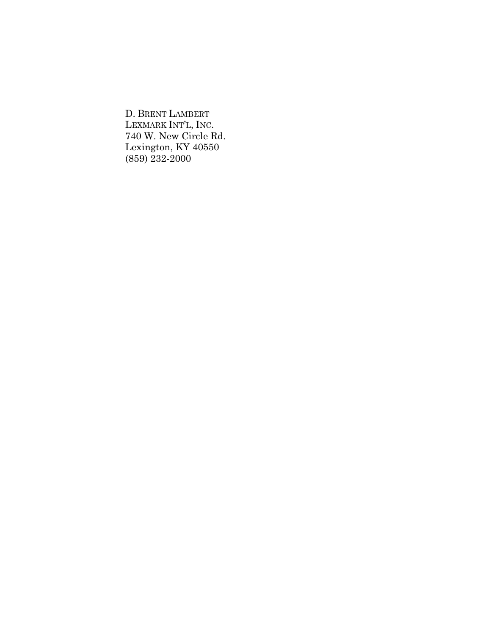D. BRENT LAMBERT LEXMARK INT'L, INC. 740 W. New Circle Rd. Lexington, KY 40550 (859) 232-2000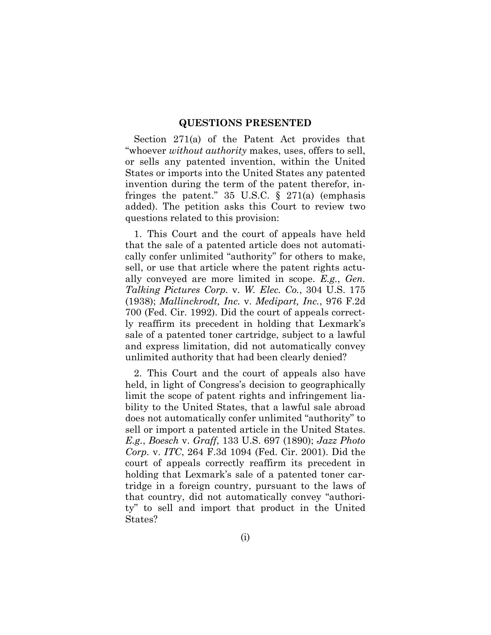#### **QUESTIONS PRESENTED**

Section 271(a) of the Patent Act provides that "whoever *without authority* makes, uses, offers to sell, or sells any patented invention, within the United States or imports into the United States any patented invention during the term of the patent therefor, infringes the patent." 35 U.S.C.  $\S$  271(a) (emphasis added). The petition asks this Court to review two questions related to this provision:

1. This Court and the court of appeals have held that the sale of a patented article does not automatically confer unlimited "authority" for others to make, sell, or use that article where the patent rights actually conveyed are more limited in scope. *E.g.*, *Gen. Talking Pictures Corp.* v. *W. Elec. Co.*, 304 U.S. 175 (1938); *Mallinckrodt, Inc.* v. *Medipart, Inc.*, 976 F.2d 700 (Fed. Cir. 1992). Did the court of appeals correctly reaffirm its precedent in holding that Lexmark's sale of a patented toner cartridge, subject to a lawful and express limitation, did not automatically convey unlimited authority that had been clearly denied?

2. This Court and the court of appeals also have held, in light of Congress's decision to geographically limit the scope of patent rights and infringement liability to the United States, that a lawful sale abroad does not automatically confer unlimited "authority" to sell or import a patented article in the United States. *E.g.*, *Boesch* v. *Graff*, 133 U.S. 697 (1890); *Jazz Photo Corp.* v. *ITC*, 264 F.3d 1094 (Fed. Cir. 2001). Did the court of appeals correctly reaffirm its precedent in holding that Lexmark's sale of a patented toner cartridge in a foreign country, pursuant to the laws of that country, did not automatically convey "authority" to sell and import that product in the United States?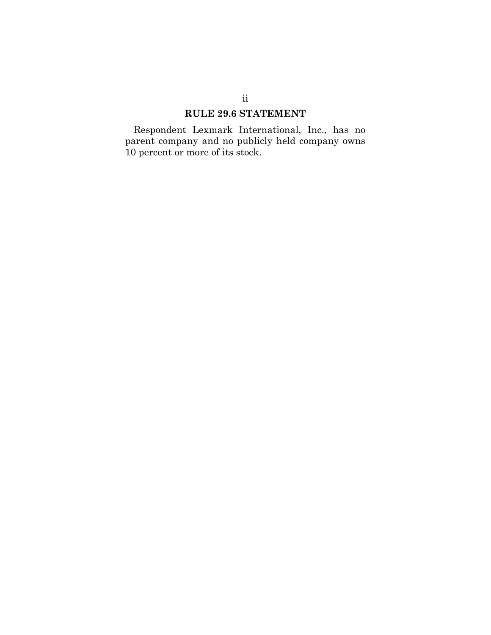# **RULE 29.6 STATEMENT**

Respondent Lexmark International, Inc., has no parent company and no publicly held company owns 10 percent or more of its stock.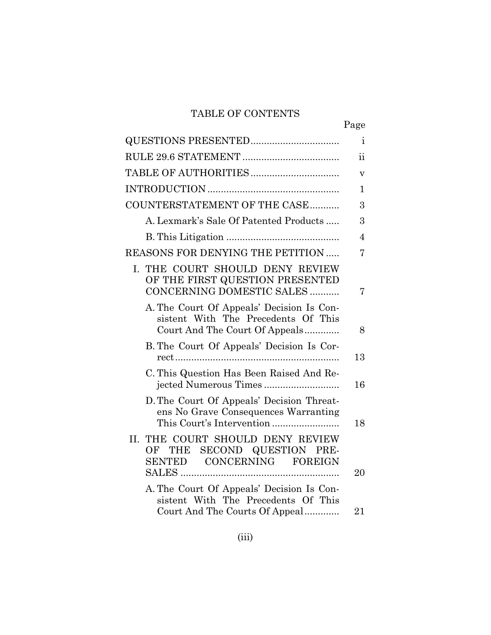# TABLE OF CONTENTS

|                                                                                                                    | Page                      |
|--------------------------------------------------------------------------------------------------------------------|---------------------------|
|                                                                                                                    | $\mathbf{i}$              |
|                                                                                                                    | ii                        |
|                                                                                                                    | $\boldsymbol{\mathrm{V}}$ |
|                                                                                                                    | $\mathbf{1}$              |
| COUNTERSTATEMENT OF THE CASE                                                                                       | 3                         |
| A. Lexmark's Sale Of Patented Products                                                                             | 3                         |
|                                                                                                                    | $\overline{4}$            |
| REASONS FOR DENYING THE PETITION                                                                                   | 7                         |
| I. THE COURT SHOULD DENY REVIEW<br>OF THE FIRST QUESTION PRESENTED<br>CONCERNING DOMESTIC SALES                    | 7                         |
| A. The Court Of Appeals' Decision Is Con-<br>sistent With The Precedents Of This<br>Court And The Court Of Appeals | 8                         |
| B. The Court Of Appeals' Decision Is Cor-                                                                          | 13                        |
| C. This Question Has Been Raised And Re-<br>jected Numerous Times                                                  | 16                        |
| D. The Court Of Appeals' Decision Threat-<br>ens No Grave Consequences Warranting                                  | 18                        |
| THE COURT SHOULD DENY REVIEW<br>II.<br>SECOND QUESTION PRE-<br>OF THE<br>SENTED CONCERNING FOREIGN                 | 20                        |
| A. The Court Of Appeals' Decision Is Con-<br>sistent With The Precedents Of This                                   |                           |
| Court And The Courts Of Appeal                                                                                     | 21                        |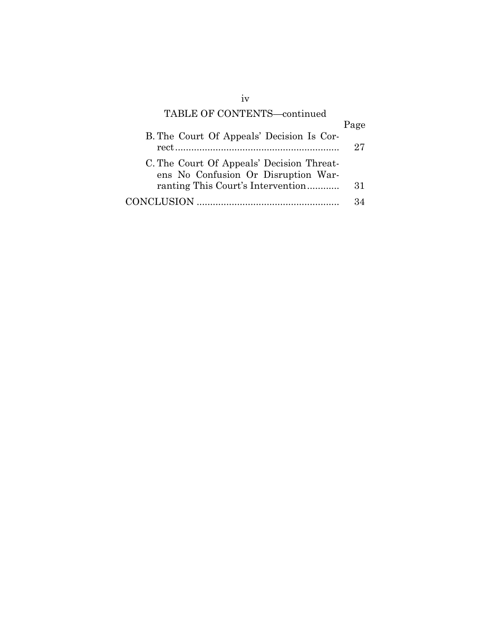# TABLE OF CONTENTS—continued

|                                           | Page |
|-------------------------------------------|------|
| B. The Court Of Appeals' Decision Is Cor- |      |
|                                           | 27   |
| C. The Court Of Appeals' Decision Threat- |      |
| ens No Confusion Or Disruption War-       |      |
| ranting This Court's Intervention         | 31   |
|                                           |      |

iv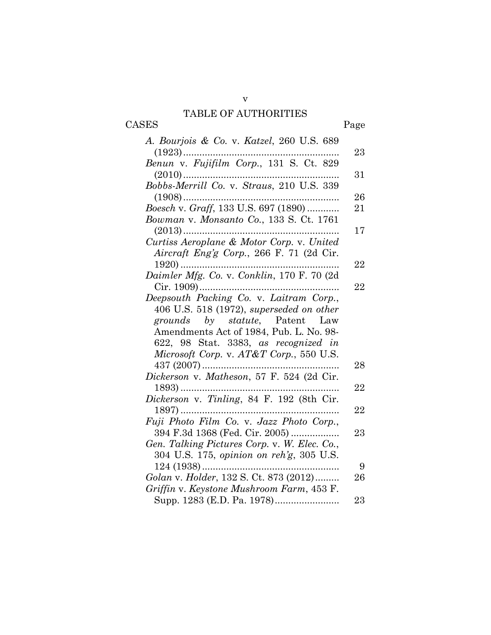# TABLE OF AUTHORITIES

CASES Page

| A. Bourjois & Co. v. Katzel, 260 U.S. 689        |    |
|--------------------------------------------------|----|
| $(1923)$                                         | 23 |
|                                                  |    |
| Bobbs-Merrill Co. v. Straus, 210 U.S. 339        | 31 |
|                                                  | 26 |
| $(1908)$<br>Boesch v. Graff, 133 U.S. 697 (1890) | 21 |
|                                                  |    |
| Bowman v. Monsanto Co., 133 S. Ct. 1761          | 17 |
|                                                  |    |
|                                                  |    |
| Aircraft Eng'g Corp., 266 F. 71 (2d Cir.         | 22 |
| Daimler Mfg. Co. v. Conklin, 170 F. 70 (2d       |    |
| Cir. 1909)                                       | 22 |
| Deepsouth Packing Co. v. Laitram Corp.,          |    |
| $406$ U.S. 518 (1972), superseded on other       |    |
| grounds by statute, Patent Law                   |    |
| Amendments Act of 1984, Pub. L. No. 98-          |    |
| 622, 98 Stat. 3383, as recognized in             |    |
| Microsoft Corp. v. AT&T Corp., 550 U.S.          |    |
| 437 $(2007)$                                     | 28 |
| Dickerson v. Matheson, 57 F. 524 (2d Cir.        |    |
|                                                  | 22 |
|                                                  |    |
| $1897)$                                          | 22 |
| Fuji Photo Film Co. v. Jazz Photo Corp.,         |    |
| 394 F.3d 1368 (Fed. Cir. 2005)                   | 23 |
| Gen. Talking Pictures Corp. v. W. Elec. Co.,     |    |
| 304 U.S. 175, opinion on reh'g, 305 U.S.         |    |
|                                                  | 9  |
| Golan v. Holder, 132 S. Ct. 873 (2012)           | 26 |
| Griffin v. Keystone Mushroom Farm, 453 F.        |    |
|                                                  | 23 |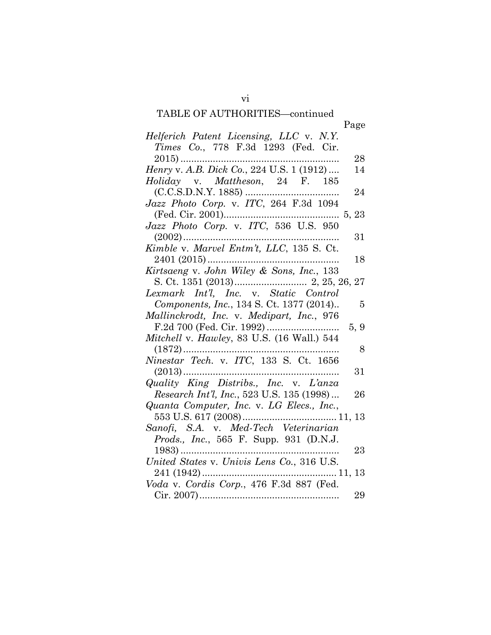# TABLE OF AUTHORITIES—continued

|                                                       | Page           |
|-------------------------------------------------------|----------------|
| Helferich Patent Licensing, LLC v. N.Y.               |                |
| Times Co., 778 F.3d 1293 (Fed. Cir.                   |                |
|                                                       | 28             |
|                                                       | 14             |
| Holiday v. Mattheson, 24 F. 185                       |                |
|                                                       | 24             |
| Jazz Photo Corp. v. ITC, 264 F.3d 1094                |                |
|                                                       |                |
| Jazz Photo Corp. v. ITC, 536 U.S. 950                 |                |
|                                                       | 31             |
| Kimble v. Marvel Entm't, LLC, 135 S. Ct.              |                |
| 2401 (2015)                                           | 18             |
| Kirtsaeng v. John Wiley & Sons, Inc., 133             |                |
|                                                       |                |
|                                                       |                |
| Components, Inc., 134 S. Ct. 1377 (2014)              | $\overline{5}$ |
| Mallinckrodt, Inc. v. Medipart, Inc., 976             |                |
|                                                       | 5, 9           |
| Mitchell v. Hawley, 83 U.S. (16 Wall.) 544            |                |
| Ninestar Tech. v. ITC, 133 S. Ct. 1656                | 8              |
|                                                       |                |
|                                                       | 31             |
| Quality King Distribs., Inc. v. L'anza                | 26             |
| Research Int'l, Inc., 523 U.S. 135 (1998)             |                |
| Quanta Computer, Inc. v. LG Elecs., Inc.,             |                |
| Sanofi, S.A. v. Med-Tech Veterinarian                 |                |
| Prods., Inc., 565 F. Supp. 931 (D.N.J.                |                |
|                                                       | 23             |
| $1983)$<br>United States v. Univis Lens Co., 316 U.S. |                |
|                                                       |                |
| Voda v. Cordis Corp., 476 F.3d 887 (Fed.              |                |
|                                                       | 29             |
|                                                       |                |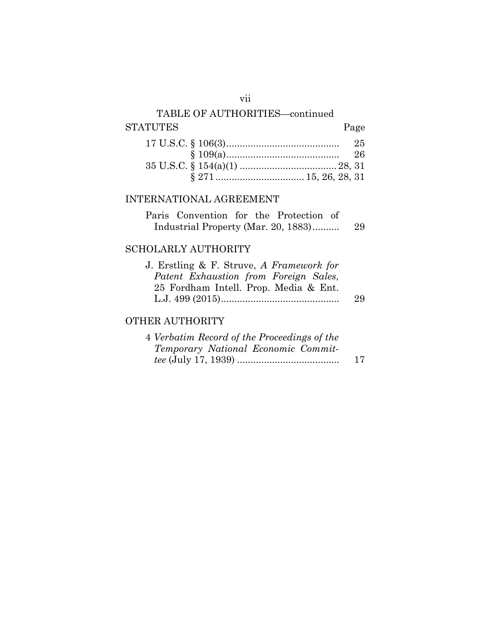# TABLE OF AUTHORITIES—continued STATUTES Page

# INTERNATIONAL AGREEMENT

| Paris Convention for the Protection of |  |  |     |
|----------------------------------------|--|--|-----|
| Industrial Property (Mar. 20, 1883)    |  |  | -29 |

# SCHOLARLY AUTHORITY

| J. Erstling $\&$ F. Struve, A Framework for |    |
|---------------------------------------------|----|
| Patent Exhaustion from Foreign Sales,       |    |
| 25 Fordham Intell. Prop. Media & Ent.       |    |
|                                             | 29 |

# OTHER AUTHORITY

| 4 Verbatim Record of the Proceedings of the |    |
|---------------------------------------------|----|
| Temporary National Economic Commit-         |    |
|                                             | 17 |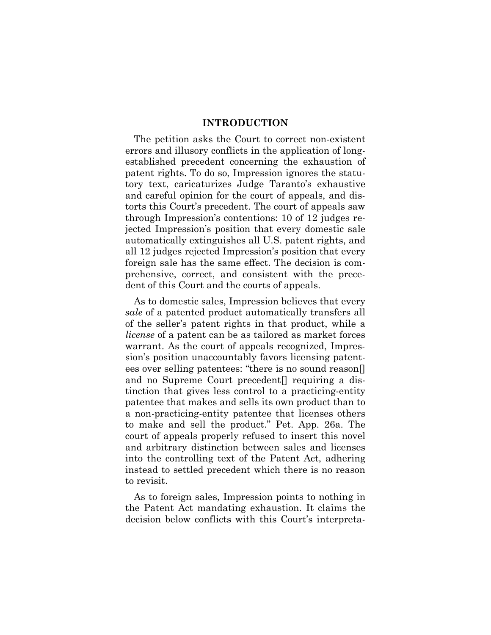#### **INTRODUCTION**

The petition asks the Court to correct non-existent errors and illusory conflicts in the application of longestablished precedent concerning the exhaustion of patent rights. To do so, Impression ignores the statutory text, caricaturizes Judge Taranto's exhaustive and careful opinion for the court of appeals, and distorts this Court's precedent. The court of appeals saw through Impression's contentions: 10 of 12 judges rejected Impression's position that every domestic sale automatically extinguishes all U.S. patent rights, and all 12 judges rejected Impression's position that every foreign sale has the same effect. The decision is comprehensive, correct, and consistent with the precedent of this Court and the courts of appeals.

As to domestic sales, Impression believes that every *sale* of a patented product automatically transfers all of the seller's patent rights in that product, while a *license* of a patent can be as tailored as market forces warrant. As the court of appeals recognized, Impression's position unaccountably favors licensing patentees over selling patentees: "there is no sound reason[] and no Supreme Court precedent<sup>[]</sup> requiring a distinction that gives less control to a practicing-entity patentee that makes and sells its own product than to a non-practicing-entity patentee that licenses others to make and sell the product." Pet. App. 26a. The court of appeals properly refused to insert this novel and arbitrary distinction between sales and licenses into the controlling text of the Patent Act, adhering instead to settled precedent which there is no reason to revisit.

As to foreign sales, Impression points to nothing in the Patent Act mandating exhaustion. It claims the decision below conflicts with this Court's interpreta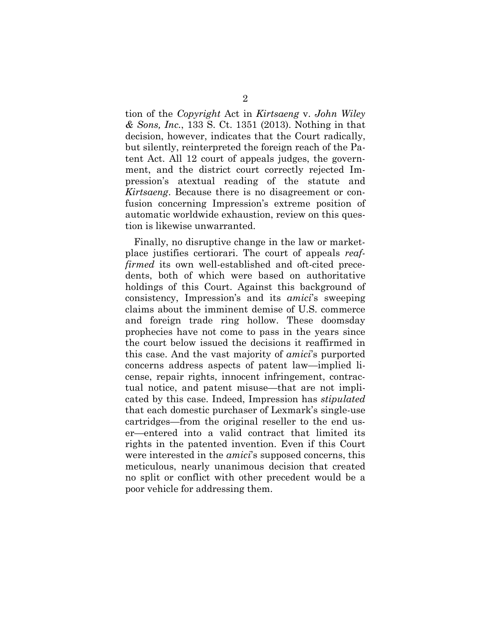tion of the *Copyright* Act in *Kirtsaeng* v. *John Wiley & Sons, Inc.*, 133 S. Ct. 1351 (2013). Nothing in that decision, however, indicates that the Court radically, but silently, reinterpreted the foreign reach of the Patent Act. All 12 court of appeals judges, the government, and the district court correctly rejected Impression's atextual reading of the statute and *Kirtsaeng*. Because there is no disagreement or confusion concerning Impression's extreme position of automatic worldwide exhaustion, review on this question is likewise unwarranted.

Finally, no disruptive change in the law or marketplace justifies certiorari. The court of appeals *reaffirmed* its own well-established and oft-cited precedents, both of which were based on authoritative holdings of this Court. Against this background of consistency, Impression's and its *amici*'s sweeping claims about the imminent demise of U.S. commerce and foreign trade ring hollow. These doomsday prophecies have not come to pass in the years since the court below issued the decisions it reaffirmed in this case. And the vast majority of *amici*'s purported concerns address aspects of patent law—implied license, repair rights, innocent infringement, contractual notice, and patent misuse—that are not implicated by this case. Indeed, Impression has *stipulated*  that each domestic purchaser of Lexmark's single-use cartridges—from the original reseller to the end user—entered into a valid contract that limited its rights in the patented invention. Even if this Court were interested in the *amici*'s supposed concerns, this meticulous, nearly unanimous decision that created no split or conflict with other precedent would be a poor vehicle for addressing them.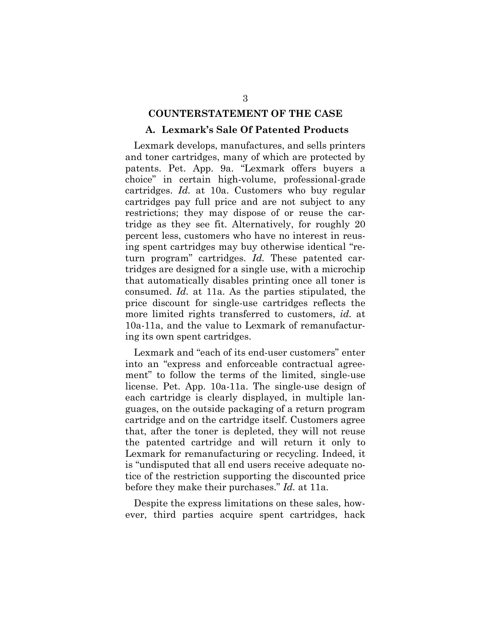#### **COUNTERSTATEMENT OF THE CASE**

#### **A. Lexmark's Sale Of Patented Products**

Lexmark develops, manufactures, and sells printers and toner cartridges, many of which are protected by patents. Pet. App. 9a. "Lexmark offers buyers a choice" in certain high-volume, professional-grade cartridges. *Id.* at 10a. Customers who buy regular cartridges pay full price and are not subject to any restrictions; they may dispose of or reuse the cartridge as they see fit. Alternatively, for roughly 20 percent less, customers who have no interest in reusing spent cartridges may buy otherwise identical "return program" cartridges. *Id.* These patented cartridges are designed for a single use, with a microchip that automatically disables printing once all toner is consumed. *Id.* at 11a. As the parties stipulated, the price discount for single-use cartridges reflects the more limited rights transferred to customers, *id.* at 10a-11a, and the value to Lexmark of remanufacturing its own spent cartridges.

Lexmark and "each of its end-user customers" enter into an "express and enforceable contractual agreement" to follow the terms of the limited, single-use license. Pet. App. 10a-11a. The single-use design of each cartridge is clearly displayed, in multiple languages, on the outside packaging of a return program cartridge and on the cartridge itself. Customers agree that, after the toner is depleted, they will not reuse the patented cartridge and will return it only to Lexmark for remanufacturing or recycling. Indeed, it is "undisputed that all end users receive adequate notice of the restriction supporting the discounted price before they make their purchases." *Id.* at 11a.

Despite the express limitations on these sales, however, third parties acquire spent cartridges, hack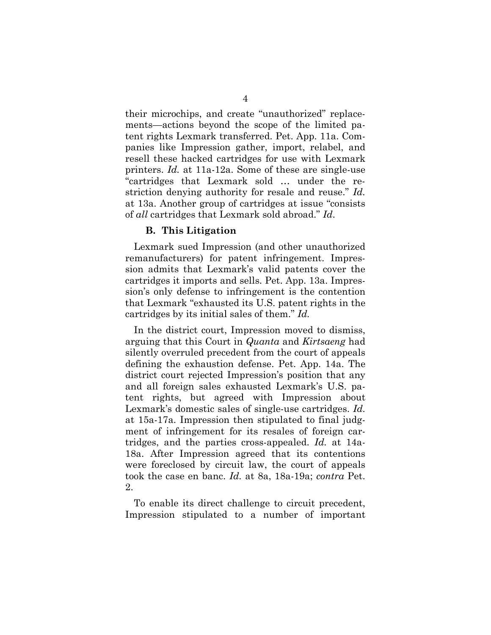their microchips, and create "unauthorized" replacements—actions beyond the scope of the limited patent rights Lexmark transferred. Pet. App. 11a. Companies like Impression gather, import, relabel, and resell these hacked cartridges for use with Lexmark printers. *Id.* at 11a-12a. Some of these are single-use "cartridges that Lexmark sold … under the restriction denying authority for resale and reuse." *Id.* at 13a. Another group of cartridges at issue "consists of *all* cartridges that Lexmark sold abroad." *Id*.

#### **B. This Litigation**

Lexmark sued Impression (and other unauthorized remanufacturers) for patent infringement. Impression admits that Lexmark's valid patents cover the cartridges it imports and sells. Pet. App. 13a. Impression's only defense to infringement is the contention that Lexmark "exhausted its U.S. patent rights in the cartridges by its initial sales of them." *Id.*

In the district court, Impression moved to dismiss, arguing that this Court in *Quanta* and *Kirtsaeng* had silently overruled precedent from the court of appeals defining the exhaustion defense. Pet. App. 14a. The district court rejected Impression's position that any and all foreign sales exhausted Lexmark's U.S. patent rights, but agreed with Impression about Lexmark's domestic sales of single-use cartridges. *Id.* at 15a-17a. Impression then stipulated to final judgment of infringement for its resales of foreign cartridges, and the parties cross-appealed. *Id.* at 14a-18a. After Impression agreed that its contentions were foreclosed by circuit law, the court of appeals took the case en banc. *Id.* at 8a, 18a-19a; *contra* Pet. 2.

To enable its direct challenge to circuit precedent, Impression stipulated to a number of important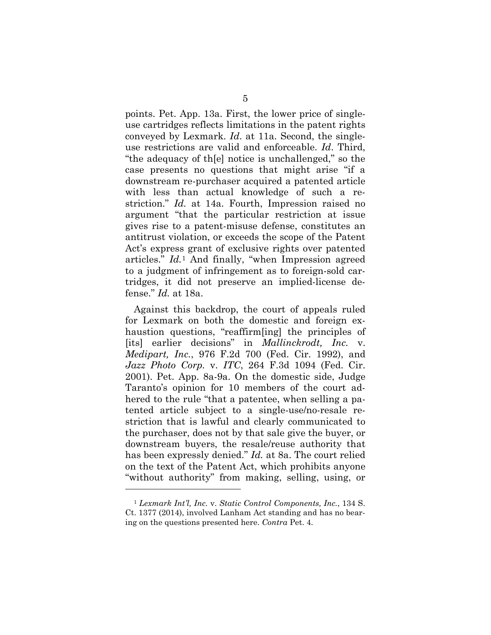points. Pet. App. 13a. First, the lower price of singleuse cartridges reflects limitations in the patent rights conveyed by Lexmark. *Id*. at 11a. Second, the singleuse restrictions are valid and enforceable. *Id*. Third, "the adequacy of th[e] notice is unchallenged," so the case presents no questions that might arise "if a downstream re-purchaser acquired a patented article with less than actual knowledge of such a restriction." *Id.* at 14a. Fourth, Impression raised no argument "that the particular restriction at issue gives rise to a patent-misuse defense, constitutes an antitrust violation, or exceeds the scope of the Patent Act's express grant of exclusive rights over patented articles." *Id.*<sup>1</sup> And finally, "when Impression agreed to a judgment of infringement as to foreign-sold cartridges, it did not preserve an implied-license defense." *Id.* at 18a.

Against this backdrop, the court of appeals ruled for Lexmark on both the domestic and foreign exhaustion questions, "reaffirm[ing] the principles of [its] earlier decisions" in *Mallinckrodt, Inc.* v. *Medipart, Inc.*, 976 F.2d 700 (Fed. Cir. 1992), and *Jazz Photo Corp.* v. *ITC*, 264 F.3d 1094 (Fed. Cir. 2001). Pet. App. 8a-9a. On the domestic side, Judge Taranto's opinion for 10 members of the court adhered to the rule "that a patentee, when selling a patented article subject to a single-use/no-resale restriction that is lawful and clearly communicated to the purchaser, does not by that sale give the buyer, or downstream buyers, the resale/reuse authority that has been expressly denied." *Id.* at 8a. The court relied on the text of the Patent Act, which prohibits anyone "without authority" from making, selling, using, or

 $\overline{a}$ 

<sup>1</sup> *Lexmark Int'l, Inc.* v. *Static Control Components, Inc.*, 134 S. Ct. 1377 (2014), involved Lanham Act standing and has no bearing on the questions presented here. *Contra* Pet. 4.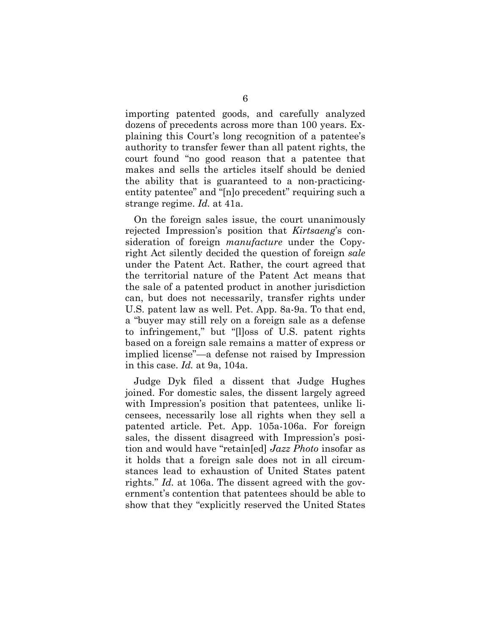importing patented goods, and carefully analyzed dozens of precedents across more than 100 years. Explaining this Court's long recognition of a patentee's authority to transfer fewer than all patent rights, the court found "no good reason that a patentee that makes and sells the articles itself should be denied the ability that is guaranteed to a non-practicingentity patentee" and "[n]o precedent" requiring such a strange regime. *Id.* at 41a.

On the foreign sales issue, the court unanimously rejected Impression's position that *Kirtsaeng*'s consideration of foreign *manufacture* under the Copyright Act silently decided the question of foreign *sale*  under the Patent Act. Rather, the court agreed that the territorial nature of the Patent Act means that the sale of a patented product in another jurisdiction can, but does not necessarily, transfer rights under U.S. patent law as well. Pet. App. 8a-9a. To that end, a "buyer may still rely on a foreign sale as a defense to infringement," but "[l]oss of U.S. patent rights based on a foreign sale remains a matter of express or implied license"—a defense not raised by Impression in this case. *Id.* at 9a, 104a.

Judge Dyk filed a dissent that Judge Hughes joined. For domestic sales, the dissent largely agreed with Impression's position that patentees, unlike licensees, necessarily lose all rights when they sell a patented article. Pet. App. 105a-106a. For foreign sales, the dissent disagreed with Impression's position and would have "retain[ed] *Jazz Photo* insofar as it holds that a foreign sale does not in all circumstances lead to exhaustion of United States patent rights." *Id.* at 106a. The dissent agreed with the government's contention that patentees should be able to show that they "explicitly reserved the United States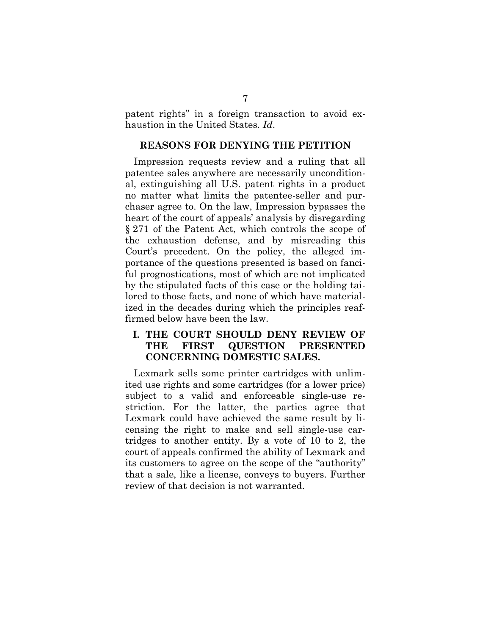patent rights" in a foreign transaction to avoid exhaustion in the United States. *Id*.

## **REASONS FOR DENYING THE PETITION**

Impression requests review and a ruling that all patentee sales anywhere are necessarily unconditional, extinguishing all U.S. patent rights in a product no matter what limits the patentee-seller and purchaser agree to. On the law, Impression bypasses the heart of the court of appeals' analysis by disregarding § 271 of the Patent Act, which controls the scope of the exhaustion defense, and by misreading this Court's precedent. On the policy, the alleged importance of the questions presented is based on fanciful prognostications, most of which are not implicated by the stipulated facts of this case or the holding tailored to those facts, and none of which have materialized in the decades during which the principles reaffirmed below have been the law.

# **I. THE COURT SHOULD DENY REVIEW OF THE FIRST QUESTION PRESENTED CONCERNING DOMESTIC SALES.**

Lexmark sells some printer cartridges with unlimited use rights and some cartridges (for a lower price) subject to a valid and enforceable single-use restriction. For the latter, the parties agree that Lexmark could have achieved the same result by licensing the right to make and sell single-use cartridges to another entity. By a vote of 10 to 2, the court of appeals confirmed the ability of Lexmark and its customers to agree on the scope of the "authority" that a sale, like a license, conveys to buyers. Further review of that decision is not warranted.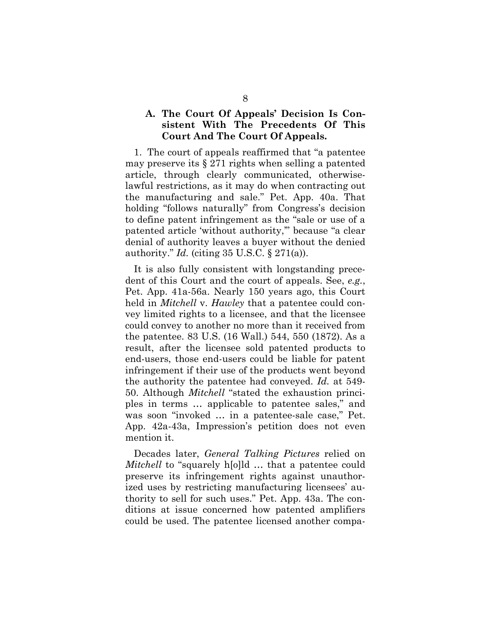## **A. The Court Of Appeals' Decision Is Consistent With The Precedents Of This Court And The Court Of Appeals.**

1. The court of appeals reaffirmed that "a patentee may preserve its § 271 rights when selling a patented article, through clearly communicated, otherwiselawful restrictions, as it may do when contracting out the manufacturing and sale." Pet. App. 40a. That holding "follows naturally" from Congress's decision to define patent infringement as the "sale or use of a patented article 'without authority,'" because "a clear denial of authority leaves a buyer without the denied authority." *Id.* (citing 35 U.S.C. § 271(a)).

It is also fully consistent with longstanding precedent of this Court and the court of appeals. See, *e.g.*, Pet. App. 41a-56a. Nearly 150 years ago, this Court held in *Mitchell* v. *Hawley* that a patentee could convey limited rights to a licensee, and that the licensee could convey to another no more than it received from the patentee. 83 U.S. (16 Wall.) 544, 550 (1872). As a result, after the licensee sold patented products to end-users, those end-users could be liable for patent infringement if their use of the products went beyond the authority the patentee had conveyed. *Id.* at 549- 50. Although *Mitchell* "stated the exhaustion principles in terms … applicable to patentee sales," and was soon "invoked … in a patentee-sale case," Pet. App. 42a-43a, Impression's petition does not even mention it.

Decades later, *General Talking Pictures* relied on *Mitchell* to "squarely h[o]ld ... that a patentee could preserve its infringement rights against unauthorized uses by restricting manufacturing licensees' authority to sell for such uses." Pet. App. 43a. The conditions at issue concerned how patented amplifiers could be used. The patentee licensed another compa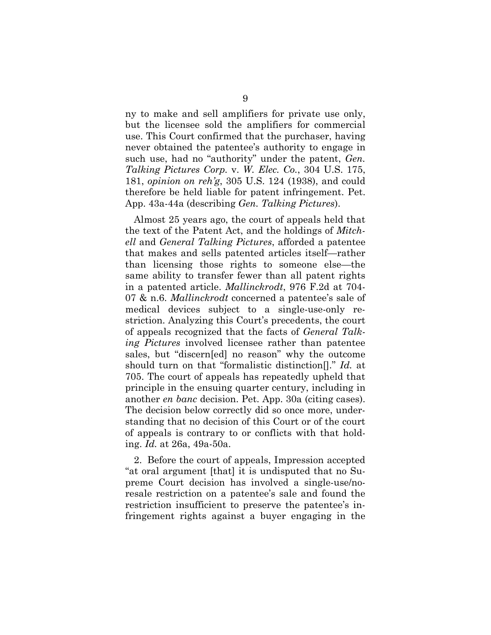ny to make and sell amplifiers for private use only, but the licensee sold the amplifiers for commercial use. This Court confirmed that the purchaser, having never obtained the patentee's authority to engage in such use, had no "authority" under the patent, *Gen. Talking Pictures Corp.* v. *W. Elec. Co.*, 304 U.S. 175, 181, *opinion on reh'g*, 305 U.S. 124 (1938), and could therefore be held liable for patent infringement. Pet. App. 43a-44a (describing *Gen. Talking Pictures*).

Almost 25 years ago, the court of appeals held that the text of the Patent Act, and the holdings of *Mitchell* and *General Talking Pictures*, afforded a patentee that makes and sells patented articles itself—rather than licensing those rights to someone else—the same ability to transfer fewer than all patent rights in a patented article. *Mallinckrodt*, 976 F.2d at 704- 07 & n.6. *Mallinckrodt* concerned a patentee's sale of medical devices subject to a single-use-only restriction. Analyzing this Court's precedents, the court of appeals recognized that the facts of *General Talking Pictures* involved licensee rather than patentee sales, but "discern[ed] no reason" why the outcome should turn on that "formalistic distinction[]." *Id.* at 705. The court of appeals has repeatedly upheld that principle in the ensuing quarter century, including in another *en banc* decision. Pet. App. 30a (citing cases). The decision below correctly did so once more, understanding that no decision of this Court or of the court of appeals is contrary to or conflicts with that holding. *Id.* at 26a, 49a-50a.

2. Before the court of appeals, Impression accepted "at oral argument [that] it is undisputed that no Supreme Court decision has involved a single-use/noresale restriction on a patentee's sale and found the restriction insufficient to preserve the patentee's infringement rights against a buyer engaging in the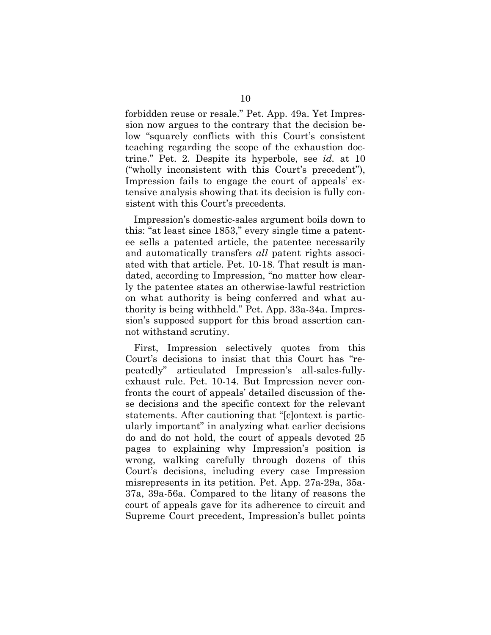forbidden reuse or resale." Pet. App. 49a. Yet Impression now argues to the contrary that the decision below "squarely conflicts with this Court's consistent teaching regarding the scope of the exhaustion doctrine." Pet. 2. Despite its hyperbole, see *id.* at 10 ("wholly inconsistent with this Court's precedent"), Impression fails to engage the court of appeals' extensive analysis showing that its decision is fully consistent with this Court's precedents.

Impression's domestic-sales argument boils down to this: "at least since 1853," every single time a patentee sells a patented article, the patentee necessarily and automatically transfers *all* patent rights associated with that article. Pet. 10-18. That result is mandated, according to Impression, "no matter how clearly the patentee states an otherwise-lawful restriction on what authority is being conferred and what authority is being withheld." Pet. App. 33a-34a. Impression's supposed support for this broad assertion cannot withstand scrutiny.

First, Impression selectively quotes from this Court's decisions to insist that this Court has "repeatedly" articulated Impression's all-sales-fullyexhaust rule. Pet. 10-14. But Impression never confronts the court of appeals' detailed discussion of these decisions and the specific context for the relevant statements. After cautioning that "[c]ontext is particularly important" in analyzing what earlier decisions do and do not hold, the court of appeals devoted 25 pages to explaining why Impression's position is wrong, walking carefully through dozens of this Court's decisions, including every case Impression misrepresents in its petition. Pet. App. 27a-29a, 35a-37a, 39a-56a. Compared to the litany of reasons the court of appeals gave for its adherence to circuit and Supreme Court precedent, Impression's bullet points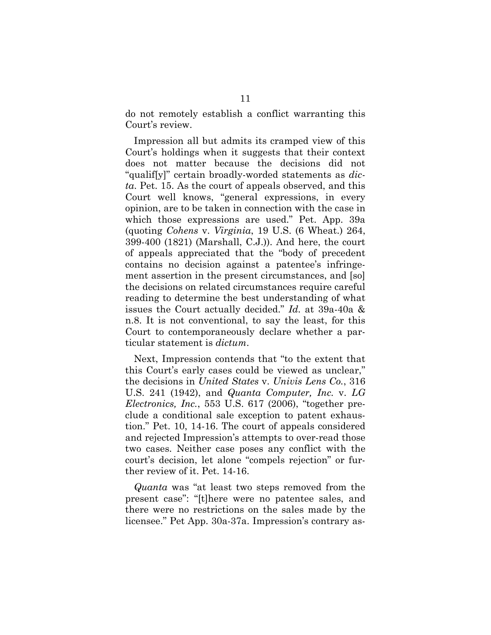do not remotely establish a conflict warranting this Court's review.

Impression all but admits its cramped view of this Court's holdings when it suggests that their context does not matter because the decisions did not "qualif[y]" certain broadly-worded statements as *dicta*. Pet. 15. As the court of appeals observed, and this Court well knows, "general expressions, in every opinion, are to be taken in connection with the case in which those expressions are used." Pet. App. 39a (quoting *Cohens* v. *Virginia*, 19 U.S. (6 Wheat.) 264, 399-400 (1821) (Marshall, C.J.)). And here, the court of appeals appreciated that the "body of precedent contains no decision against a patentee's infringement assertion in the present circumstances, and [so] the decisions on related circumstances require careful reading to determine the best understanding of what issues the Court actually decided." *Id.* at 39a-40a & n.8. It is not conventional, to say the least, for this Court to contemporaneously declare whether a particular statement is *dictum*.

Next, Impression contends that "to the extent that this Court's early cases could be viewed as unclear," the decisions in *United States* v. *Univis Lens Co.*, 316 U.S. 241 (1942), and *Quanta Computer, Inc.* v. *LG Electronics, Inc.*, 553 U.S. 617 (2006), "together preclude a conditional sale exception to patent exhaustion." Pet. 10, 14-16. The court of appeals considered and rejected Impression's attempts to over-read those two cases. Neither case poses any conflict with the court's decision, let alone "compels rejection" or further review of it. Pet. 14-16.

*Quanta* was "at least two steps removed from the present case": "[t]here were no patentee sales, and there were no restrictions on the sales made by the licensee." Pet App. 30a-37a. Impression's contrary as-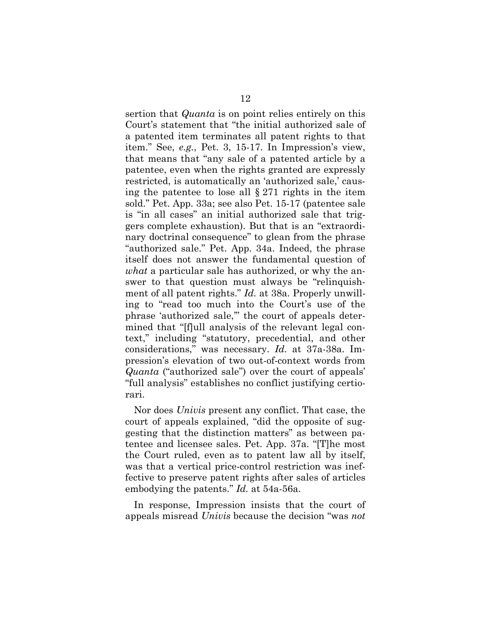sertion that *Quanta* is on point relies entirely on this Court's statement that "the initial authorized sale of a patented item terminates all patent rights to that item." See, *e.g.*, Pet. 3, 15-17. In Impression's view, that means that "any sale of a patented article by a patentee, even when the rights granted are expressly restricted, is automatically an 'authorized sale,' causing the patentee to lose all  $\S 271$  rights in the item sold." Pet. App. 33a; see also Pet. 15-17 (patentee sale is "in all cases" an initial authorized sale that triggers complete exhaustion). But that is an "extraordinary doctrinal consequence" to glean from the phrase "authorized sale." Pet. App. 34a. Indeed, the phrase itself does not answer the fundamental question of *what* a particular sale has authorized, or why the answer to that question must always be "relinquishment of all patent rights." *Id.* at 38a. Properly unwilling to "read too much into the Court's use of the phrase 'authorized sale,'" the court of appeals determined that "[f]ull analysis of the relevant legal context," including "statutory, precedential, and other considerations," was necessary. *Id.* at 37a-38a. Impression's elevation of two out-of-context words from *Quanta* ("authorized sale") over the court of appeals' "full analysis" establishes no conflict justifying certiorari.

Nor does *Univis* present any conflict. That case, the court of appeals explained, "did the opposite of suggesting that the distinction matters" as between patentee and licensee sales. Pet. App. 37a. "[T]he most the Court ruled, even as to patent law all by itself, was that a vertical price-control restriction was ineffective to preserve patent rights after sales of articles embodying the patents." *Id.* at 54a-56a.

In response, Impression insists that the court of appeals misread *Univis* because the decision "was *not*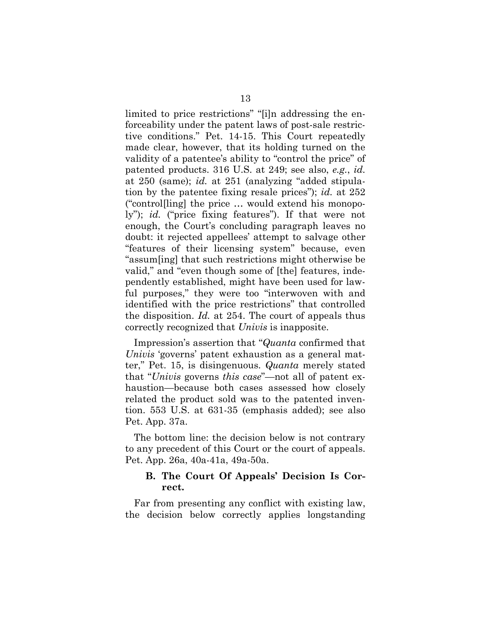limited to price restrictions" "[i]n addressing the enforceability under the patent laws of post-sale restrictive conditions." Pet. 14-15. This Court repeatedly made clear, however, that its holding turned on the validity of a patentee's ability to "control the price" of patented products. 316 U.S. at 249; see also, *e.g.*, *id.* at 250 (same); *id.* at 251 (analyzing "added stipulation by the patentee fixing resale prices"); *id.* at 252 ("control[ling] the price … would extend his monopoly"); *id.* ("price fixing features"). If that were not enough, the Court's concluding paragraph leaves no doubt: it rejected appellees' attempt to salvage other "features of their licensing system" because, even "assum[ing] that such restrictions might otherwise be valid," and "even though some of [the] features, independently established, might have been used for lawful purposes," they were too "interwoven with and identified with the price restrictions" that controlled the disposition. *Id.* at 254. The court of appeals thus correctly recognized that *Univis* is inapposite.

Impression's assertion that "*Quanta* confirmed that *Univis* 'governs' patent exhaustion as a general matter," Pet. 15, is disingenuous. *Quanta* merely stated that "*Univis* governs *this case*"—not all of patent exhaustion—because both cases assessed how closely related the product sold was to the patented invention. 553 U.S. at 631-35 (emphasis added); see also Pet. App. 37a.

The bottom line: the decision below is not contrary to any precedent of this Court or the court of appeals. Pet. App. 26a, 40a-41a, 49a-50a.

### **B. The Court Of Appeals' Decision Is Correct.**

Far from presenting any conflict with existing law, the decision below correctly applies longstanding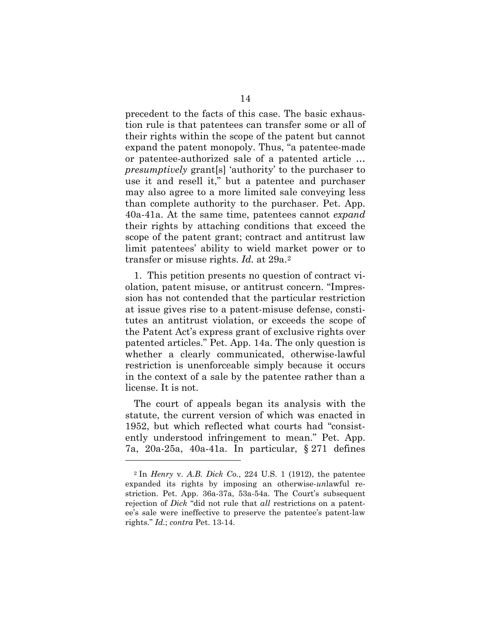precedent to the facts of this case. The basic exhaustion rule is that patentees can transfer some or all of their rights within the scope of the patent but cannot expand the patent monopoly. Thus, "a patentee-made or patentee-authorized sale of a patented article … *presumptively* grant[s] 'authority' to the purchaser to use it and resell it," but a patentee and purchaser may also agree to a more limited sale conveying less than complete authority to the purchaser. Pet. App. 40a-41a. At the same time, patentees cannot *expand* their rights by attaching conditions that exceed the scope of the patent grant; contract and antitrust law limit patentees' ability to wield market power or to transfer or misuse rights. *Id.* at 29a.2

1. This petition presents no question of contract violation, patent misuse, or antitrust concern. "Impression has not contended that the particular restriction at issue gives rise to a patent-misuse defense, constitutes an antitrust violation, or exceeds the scope of the Patent Act's express grant of exclusive rights over patented articles." Pet. App. 14a. The only question is whether a clearly communicated, otherwise-lawful restriction is unenforceable simply because it occurs in the context of a sale by the patentee rather than a license. It is not.

The court of appeals began its analysis with the statute, the current version of which was enacted in 1952, but which reflected what courts had "consistently understood infringement to mean." Pet. App. 7a, 20a-25a, 40a-41a. In particular, § 271 defines

 $\overline{a}$ 

<sup>2</sup> In *Henry* v. *A.B. Dick Co.*, 224 U.S. 1 (1912), the patentee expanded its rights by imposing an otherwise-*un*lawful restriction. Pet. App. 36a-37a, 53a-54a. The Court's subsequent rejection of *Dick* "did not rule that *all* restrictions on a patentee's sale were ineffective to preserve the patentee's patent-law rights." *Id.*; *contra* Pet. 13-14.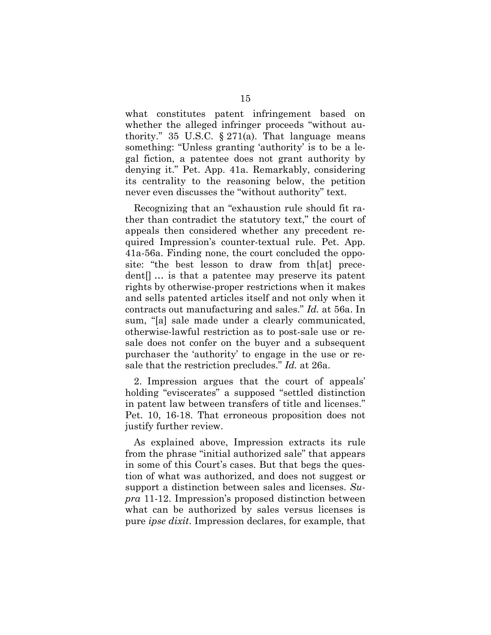what constitutes patent infringement based on whether the alleged infringer proceeds "without authority." 35 U.S.C.  $\S 271(a)$ . That language means something: "Unless granting 'authority' is to be a legal fiction, a patentee does not grant authority by denying it." Pet. App. 41a. Remarkably, considering its centrality to the reasoning below, the petition never even discusses the "without authority" text.

Recognizing that an "exhaustion rule should fit rather than contradict the statutory text," the court of appeals then considered whether any precedent required Impression's counter-textual rule. Pet. App. 41a-56a. Finding none, the court concluded the opposite: "the best lesson to draw from th[at] precedent[] … is that a patentee may preserve its patent rights by otherwise-proper restrictions when it makes and sells patented articles itself and not only when it contracts out manufacturing and sales." *Id.* at 56a. In sum, "[a] sale made under a clearly communicated, otherwise-lawful restriction as to post-sale use or resale does not confer on the buyer and a subsequent purchaser the 'authority' to engage in the use or resale that the restriction precludes." *Id.* at 26a.

2. Impression argues that the court of appeals' holding "eviscerates" a supposed "settled distinction in patent law between transfers of title and licenses." Pet. 10, 16-18. That erroneous proposition does not justify further review.

As explained above, Impression extracts its rule from the phrase "initial authorized sale" that appears in some of this Court's cases. But that begs the question of what was authorized, and does not suggest or support a distinction between sales and licenses. *Supra* 11-12. Impression's proposed distinction between what can be authorized by sales versus licenses is pure *ipse dixit*. Impression declares, for example, that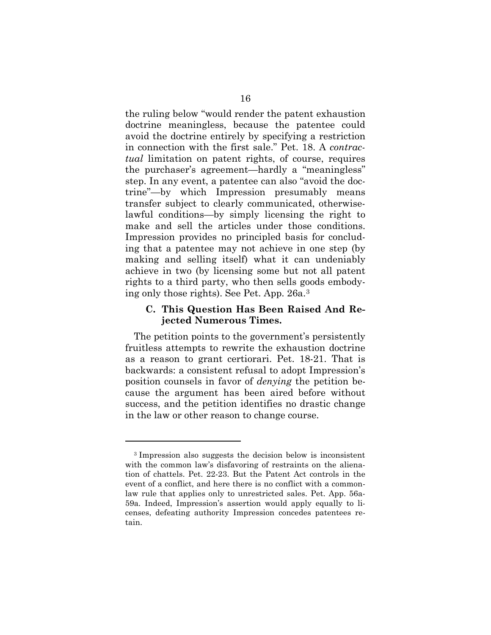the ruling below "would render the patent exhaustion doctrine meaningless, because the patentee could avoid the doctrine entirely by specifying a restriction in connection with the first sale." Pet. 18. A *contractual* limitation on patent rights, of course, requires the purchaser's agreement—hardly a "meaningless" step. In any event, a patentee can also "avoid the doctrine"—by which Impression presumably means transfer subject to clearly communicated, otherwiselawful conditions—by simply licensing the right to make and sell the articles under those conditions. Impression provides no principled basis for concluding that a patentee may not achieve in one step (by making and selling itself) what it can undeniably achieve in two (by licensing some but not all patent rights to a third party, who then sells goods embodying only those rights). See Pet. App. 26a.3

#### **C. This Question Has Been Raised And Rejected Numerous Times.**

The petition points to the government's persistently fruitless attempts to rewrite the exhaustion doctrine as a reason to grant certiorari. Pet. 18-21. That is backwards: a consistent refusal to adopt Impression's position counsels in favor of *denying* the petition because the argument has been aired before without success, and the petition identifies no drastic change in the law or other reason to change course.

 $\overline{a}$ 

<sup>3</sup> Impression also suggests the decision below is inconsistent with the common law's disfavoring of restraints on the alienation of chattels. Pet. 22-23. But the Patent Act controls in the event of a conflict, and here there is no conflict with a commonlaw rule that applies only to unrestricted sales. Pet. App. 56a-59a. Indeed, Impression's assertion would apply equally to licenses, defeating authority Impression concedes patentees retain.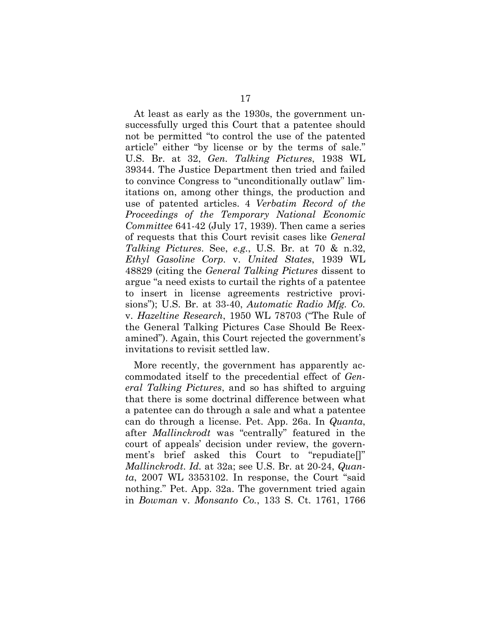At least as early as the 1930s, the government unsuccessfully urged this Court that a patentee should not be permitted "to control the use of the patented article" either "by license or by the terms of sale." U.S. Br. at 32, *Gen. Talking Pictures*, 1938 WL 39344. The Justice Department then tried and failed to convince Congress to "unconditionally outlaw" limitations on, among other things, the production and use of patented articles. 4 *Verbatim Record of the Proceedings of the Temporary National Economic Committee* 641-42 (July 17, 1939). Then came a series of requests that this Court revisit cases like *General Talking Pictures*. See, *e.g.*, U.S. Br. at 70 & n.32, *Ethyl Gasoline Corp.* v. *United States*, 1939 WL 48829 (citing the *General Talking Pictures* dissent to argue "a need exists to curtail the rights of a patentee to insert in license agreements restrictive provisions"); U.S. Br. at 33-40, *Automatic Radio Mfg. Co.* v. *Hazeltine Research*, 1950 WL 78703 ("The Rule of the General Talking Pictures Case Should Be Reexamined"). Again, this Court rejected the government's invitations to revisit settled law.

More recently, the government has apparently accommodated itself to the precedential effect of *General Talking Pictures*, and so has shifted to arguing that there is some doctrinal difference between what a patentee can do through a sale and what a patentee can do through a license. Pet. App. 26a. In *Quanta*, after *Mallinckrodt* was "centrally" featured in the court of appeals' decision under review, the government's brief asked this Court to "repudiate[]" *Mallinckrodt*. *Id.* at 32a; see U.S. Br. at 20-24, *Quanta*, 2007 WL 3353102. In response, the Court "said nothing." Pet. App. 32a. The government tried again in *Bowman* v. *Monsanto Co.*, 133 S. Ct. 1761, 1766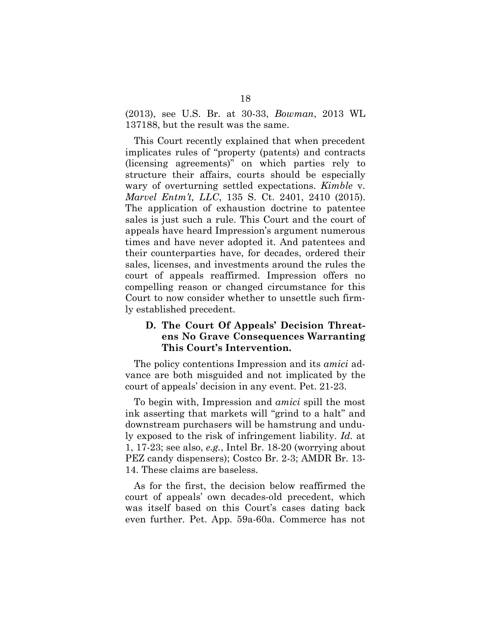(2013), see U.S. Br. at 30-33, *Bowman*, 2013 WL 137188, but the result was the same.

This Court recently explained that when precedent implicates rules of "property (patents) and contracts (licensing agreements)" on which parties rely to structure their affairs, courts should be especially wary of overturning settled expectations. *Kimble* v. *Marvel Entm't, LLC*, 135 S. Ct. 2401, 2410 (2015). The application of exhaustion doctrine to patentee sales is just such a rule. This Court and the court of appeals have heard Impression's argument numerous times and have never adopted it. And patentees and their counterparties have, for decades, ordered their sales, licenses, and investments around the rules the court of appeals reaffirmed. Impression offers no compelling reason or changed circumstance for this Court to now consider whether to unsettle such firmly established precedent.

# **D. The Court Of Appeals' Decision Threatens No Grave Consequences Warranting This Court's Intervention.**

The policy contentions Impression and its *amici* advance are both misguided and not implicated by the court of appeals' decision in any event. Pet. 21-23.

To begin with, Impression and *amici* spill the most ink asserting that markets will "grind to a halt" and downstream purchasers will be hamstrung and unduly exposed to the risk of infringement liability. *Id.* at 1, 17-23; see also, *e.g.*, Intel Br. 18-20 (worrying about PEZ candy dispensers); Costco Br. 2-3; AMDR Br. 13- 14. These claims are baseless.

As for the first, the decision below reaffirmed the court of appeals' own decades-old precedent, which was itself based on this Court's cases dating back even further. Pet. App. 59a-60a. Commerce has not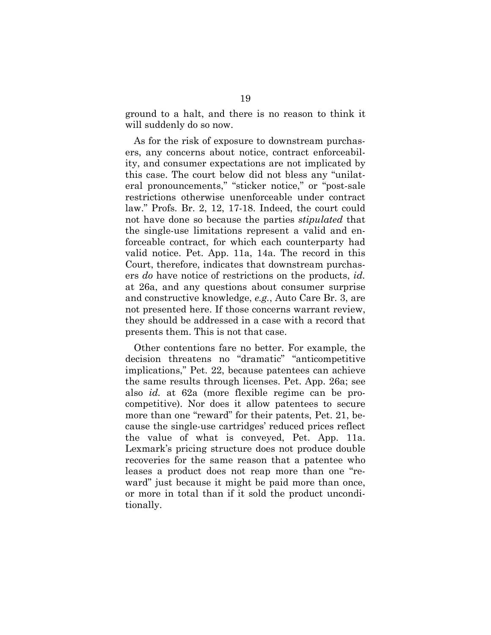ground to a halt, and there is no reason to think it will suddenly do so now.

As for the risk of exposure to downstream purchasers, any concerns about notice, contract enforceability, and consumer expectations are not implicated by this case. The court below did not bless any "unilateral pronouncements," "sticker notice," or "post-sale restrictions otherwise unenforceable under contract law." Profs. Br. 2, 12, 17-18. Indeed, the court could not have done so because the parties *stipulated* that the single-use limitations represent a valid and enforceable contract, for which each counterparty had valid notice. Pet. App. 11a, 14a. The record in this Court, therefore, indicates that downstream purchasers *do* have notice of restrictions on the products, *id.*  at 26a, and any questions about consumer surprise and constructive knowledge, *e.g.*, Auto Care Br. 3, are not presented here. If those concerns warrant review, they should be addressed in a case with a record that presents them. This is not that case.

Other contentions fare no better. For example, the decision threatens no "dramatic" "anticompetitive implications," Pet. 22, because patentees can achieve the same results through licenses. Pet. App. 26a; see also *id.* at 62a (more flexible regime can be procompetitive). Nor does it allow patentees to secure more than one "reward" for their patents, Pet. 21, because the single-use cartridges' reduced prices reflect the value of what is conveyed, Pet. App. 11a. Lexmark's pricing structure does not produce double recoveries for the same reason that a patentee who leases a product does not reap more than one "reward" just because it might be paid more than once, or more in total than if it sold the product unconditionally.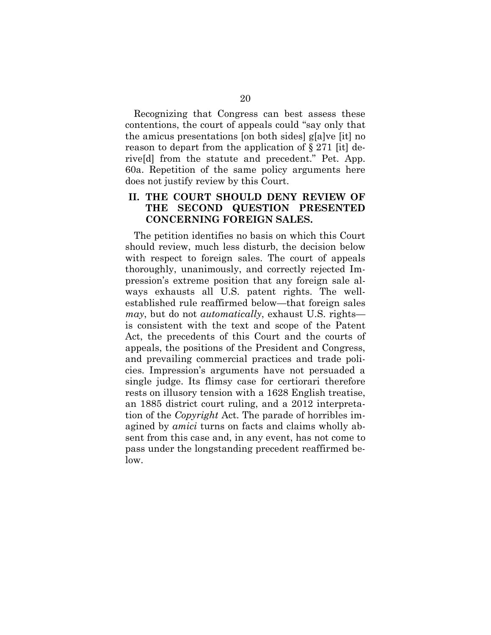Recognizing that Congress can best assess these contentions, the court of appeals could "say only that the amicus presentations [on both sides] g[a]ve [it] no reason to depart from the application of § 271 [it] derive[d] from the statute and precedent." Pet. App. 60a. Repetition of the same policy arguments here does not justify review by this Court.

## **II. THE COURT SHOULD DENY REVIEW OF THE SECOND QUESTION PRESENTED CONCERNING FOREIGN SALES.**

The petition identifies no basis on which this Court should review, much less disturb, the decision below with respect to foreign sales. The court of appeals thoroughly, unanimously, and correctly rejected Impression's extreme position that any foreign sale always exhausts all U.S. patent rights. The wellestablished rule reaffirmed below—that foreign sales *may*, but do not *automatically*, exhaust U.S. rights is consistent with the text and scope of the Patent Act, the precedents of this Court and the courts of appeals, the positions of the President and Congress, and prevailing commercial practices and trade policies. Impression's arguments have not persuaded a single judge. Its flimsy case for certiorari therefore rests on illusory tension with a 1628 English treatise, an 1885 district court ruling, and a 2012 interpretation of the *Copyright* Act. The parade of horribles imagined by *amici* turns on facts and claims wholly absent from this case and, in any event, has not come to pass under the longstanding precedent reaffirmed below.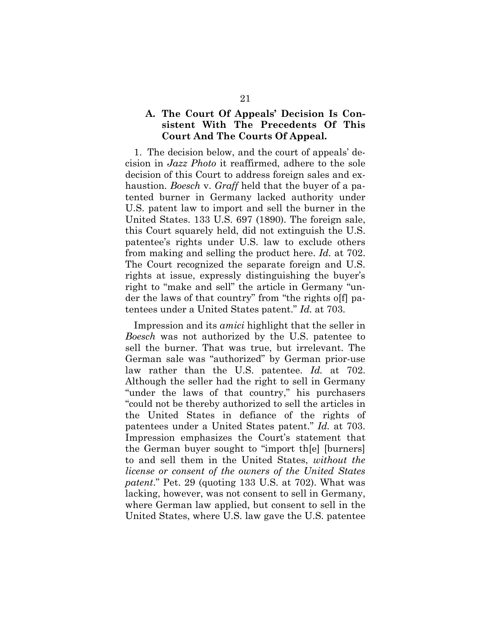## **A. The Court Of Appeals' Decision Is Consistent With The Precedents Of This Court And The Courts Of Appeal.**

1. The decision below, and the court of appeals' decision in *Jazz Photo* it reaffirmed, adhere to the sole decision of this Court to address foreign sales and exhaustion. *Boesch* v. *Graff* held that the buyer of a patented burner in Germany lacked authority under U.S. patent law to import and sell the burner in the United States. 133 U.S. 697 (1890). The foreign sale, this Court squarely held, did not extinguish the U.S. patentee's rights under U.S. law to exclude others from making and selling the product here. *Id.* at 702. The Court recognized the separate foreign and U.S. rights at issue, expressly distinguishing the buyer's right to "make and sell" the article in Germany "under the laws of that country" from "the rights off patentees under a United States patent." *Id.* at 703.

Impression and its *amici* highlight that the seller in *Boesch* was not authorized by the U.S. patentee to sell the burner. That was true, but irrelevant. The German sale was "authorized" by German prior-use law rather than the U.S. patentee. *Id.* at 702. Although the seller had the right to sell in Germany "under the laws of that country," his purchasers "could not be thereby authorized to sell the articles in the United States in defiance of the rights of patentees under a United States patent." *Id.* at 703. Impression emphasizes the Court's statement that the German buyer sought to "import th[e] [burners] to and sell them in the United States, *without the license or consent of the owners of the United States patent*." Pet. 29 (quoting 133 U.S. at 702). What was lacking, however, was not consent to sell in Germany, where German law applied, but consent to sell in the United States, where U.S. law gave the U.S. patentee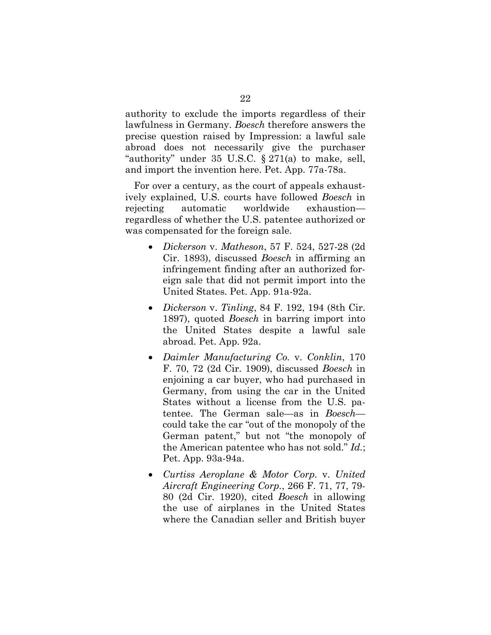authority to exclude the imports regardless of their lawfulness in Germany. *Boesch* therefore answers the precise question raised by Impression: a lawful sale abroad does not necessarily give the purchaser "authority" under 35 U.S.C. § 271(a) to make, sell, and import the invention here. Pet. App. 77a-78a.

For over a century, as the court of appeals exhaustively explained, U.S. courts have followed *Boesch* in rejecting automatic worldwide exhaustion regardless of whether the U.S. patentee authorized or was compensated for the foreign sale.

- *Dickerson* v. *Matheson*, 57 F. 524, 527-28 (2d Cir. 1893), discussed *Boesch* in affirming an infringement finding after an authorized foreign sale that did not permit import into the United States. Pet. App. 91a-92a.
- *Dickerson* v. *Tinling*, 84 F. 192, 194 (8th Cir. 1897), quoted *Boesch* in barring import into the United States despite a lawful sale abroad. Pet. App. 92a.
- *Daimler Manufacturing Co.* v. *Conklin*, 170 F. 70, 72 (2d Cir. 1909), discussed *Boesch* in enjoining a car buyer, who had purchased in Germany, from using the car in the United States without a license from the U.S. patentee. The German sale—as in *Boesch* could take the car "out of the monopoly of the German patent," but not "the monopoly of the American patentee who has not sold." *Id.*; Pet. App. 93a-94a.
- *Curtiss Aeroplane & Motor Corp.* v. *United Aircraft Engineering Corp.*, 266 F. 71, 77, 79- 80 (2d Cir. 1920), cited *Boesch* in allowing the use of airplanes in the United States where the Canadian seller and British buyer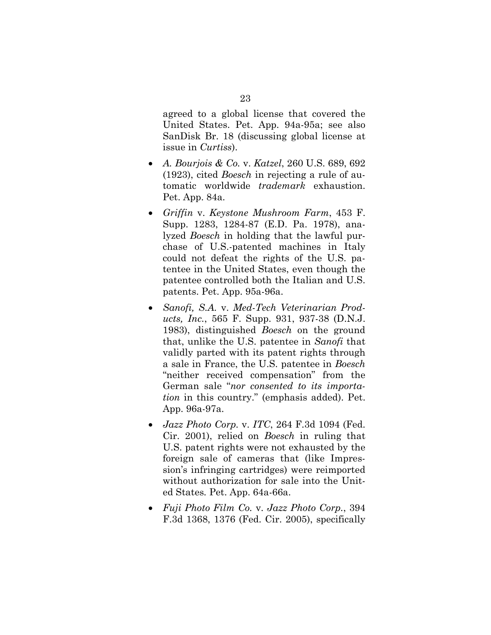agreed to a global license that covered the United States. Pet. App. 94a-95a; see also SanDisk Br. 18 (discussing global license at issue in *Curtiss*).

- *A. Bourjois & Co.* v. *Katzel*, 260 U.S. 689, 692 (1923), cited *Boesch* in rejecting a rule of automatic worldwide *trademark* exhaustion. Pet. App. 84a.
- *Griffin* v. *Keystone Mushroom Farm*, 453 F. Supp. 1283, 1284-87 (E.D. Pa. 1978), analyzed *Boesch* in holding that the lawful purchase of U.S.-patented machines in Italy could not defeat the rights of the U.S. patentee in the United States, even though the patentee controlled both the Italian and U.S. patents. Pet. App. 95a-96a.
- *Sanofi, S.A.* v. *Med-Tech Veterinarian Products, Inc.*, 565 F. Supp. 931, 937-38 (D.N.J. 1983), distinguished *Boesch* on the ground that, unlike the U.S. patentee in *Sanofi* that validly parted with its patent rights through a sale in France, the U.S. patentee in *Boesch*  "neither received compensation" from the German sale "*nor consented to its importation* in this country." (emphasis added). Pet. App. 96a-97a.
- *Jazz Photo Corp.* v. *ITC*, 264 F.3d 1094 (Fed. Cir. 2001), relied on *Boesch* in ruling that U.S. patent rights were not exhausted by the foreign sale of cameras that (like Impression's infringing cartridges) were reimported without authorization for sale into the United States*.* Pet. App. 64a-66a.
- *Fuji Photo Film Co.* v. *Jazz Photo Corp.*, 394 F.3d 1368, 1376 (Fed. Cir. 2005), specifically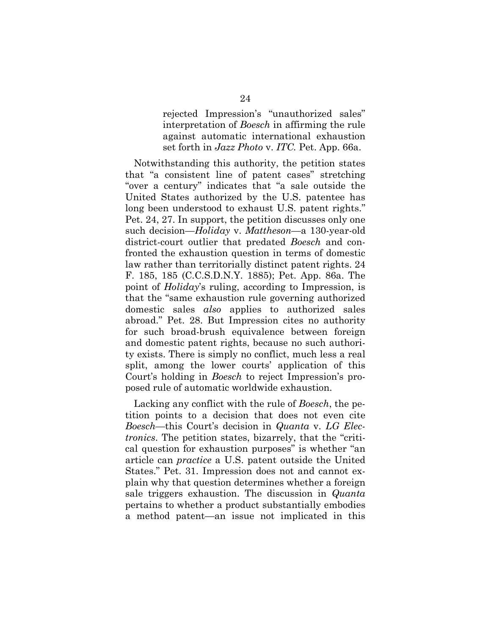rejected Impression's "unauthorized sales" interpretation of *Boesch* in affirming the rule against automatic international exhaustion set forth in *Jazz Photo* v. *ITC.* Pet. App. 66a.

Notwithstanding this authority, the petition states that "a consistent line of patent cases" stretching "over a century" indicates that "a sale outside the United States authorized by the U.S. patentee has long been understood to exhaust U.S. patent rights." Pet. 24, 27. In support, the petition discusses only one such decision—*Holiday* v. *Mattheson*—a 130-year-old district-court outlier that predated *Boesch* and confronted the exhaustion question in terms of domestic law rather than territorially distinct patent rights. 24 F. 185, 185 (C.C.S.D.N.Y. 1885); Pet. App. 86a. The point of *Holiday*'s ruling, according to Impression, is that the "same exhaustion rule governing authorized domestic sales *also* applies to authorized sales abroad." Pet. 28. But Impression cites no authority for such broad-brush equivalence between foreign and domestic patent rights, because no such authority exists. There is simply no conflict, much less a real split, among the lower courts' application of this Court's holding in *Boesch* to reject Impression's proposed rule of automatic worldwide exhaustion.

Lacking any conflict with the rule of *Boesch*, the petition points to a decision that does not even cite *Boesch*—this Court's decision in *Quanta* v. *LG Electronics*. The petition states, bizarrely, that the "critical question for exhaustion purposes" is whether "an article can *practice* a U.S. patent outside the United States." Pet. 31. Impression does not and cannot explain why that question determines whether a foreign sale triggers exhaustion. The discussion in *Quanta* pertains to whether a product substantially embodies a method patent—an issue not implicated in this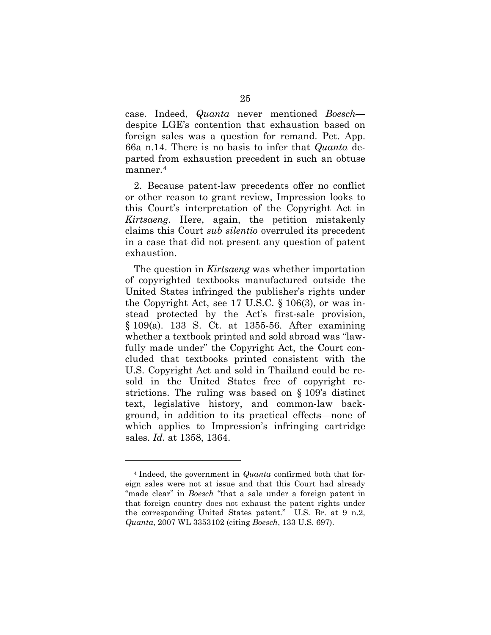case. Indeed, *Quanta* never mentioned *Boesch* despite LGE's contention that exhaustion based on foreign sales was a question for remand. Pet. App. 66a n.14. There is no basis to infer that *Quanta* departed from exhaustion precedent in such an obtuse manner.<sup>4</sup>

2. Because patent-law precedents offer no conflict or other reason to grant review, Impression looks to this Court's interpretation of the Copyright Act in *Kirtsaeng*. Here, again, the petition mistakenly claims this Court *sub silentio* overruled its precedent in a case that did not present any question of patent exhaustion.

The question in *Kirtsaeng* was whether importation of copyrighted textbooks manufactured outside the United States infringed the publisher's rights under the Copyright Act, see 17 U.S.C. § 106(3), or was instead protected by the Act's first-sale provision, § 109(a). 133 S. Ct. at 1355-56. After examining whether a textbook printed and sold abroad was "lawfully made under" the Copyright Act, the Court concluded that textbooks printed consistent with the U.S. Copyright Act and sold in Thailand could be resold in the United States free of copyright restrictions. The ruling was based on § 109's distinct text, legislative history, and common-law background, in addition to its practical effects—none of which applies to Impression's infringing cartridge sales. *Id.* at 1358, 1364.

 $\overline{a}$ 

<sup>4</sup> Indeed, the government in *Quanta* confirmed both that foreign sales were not at issue and that this Court had already "made clear" in *Boesch* "that a sale under a foreign patent in that foreign country does not exhaust the patent rights under the corresponding United States patent." U.S. Br. at 9 n.2, *Quanta*, 2007 WL 3353102 (citing *Boesch*, 133 U.S. 697).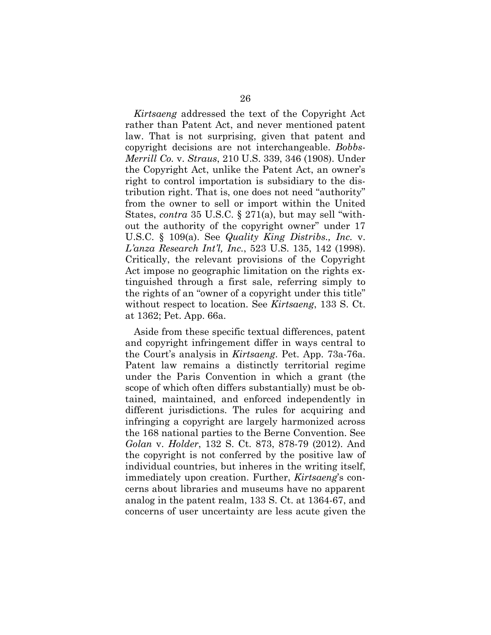*Kirtsaeng* addressed the text of the Copyright Act rather than Patent Act, and never mentioned patent law. That is not surprising, given that patent and copyright decisions are not interchangeable. *Bobbs-Merrill Co.* v. *Straus*, 210 U.S. 339, 346 (1908). Under the Copyright Act, unlike the Patent Act, an owner's right to control importation is subsidiary to the distribution right. That is, one does not need "authority" from the owner to sell or import within the United States, *contra* 35 U.S.C. § 271(a), but may sell "without the authority of the copyright owner" under 17 U.S.C. § 109(a). See *Quality King Distribs., Inc.* v. *L'anza Research Int'l, Inc.*, 523 U.S. 135, 142 (1998). Critically, the relevant provisions of the Copyright Act impose no geographic limitation on the rights extinguished through a first sale, referring simply to the rights of an "owner of a copyright under this title" without respect to location. See *Kirtsaeng*, 133 S. Ct. at 1362; Pet. App. 66a.

Aside from these specific textual differences, patent and copyright infringement differ in ways central to the Court's analysis in *Kirtsaeng*. Pet. App. 73a-76a. Patent law remains a distinctly territorial regime under the Paris Convention in which a grant (the scope of which often differs substantially) must be obtained, maintained, and enforced independently in different jurisdictions. The rules for acquiring and infringing a copyright are largely harmonized across the 168 national parties to the Berne Convention. See *Golan* v. *Holder*, 132 S. Ct. 873, 878-79 (2012). And the copyright is not conferred by the positive law of individual countries, but inheres in the writing itself, immediately upon creation. Further, *Kirtsaeng*'s concerns about libraries and museums have no apparent analog in the patent realm, 133 S. Ct. at 1364-67, and concerns of user uncertainty are less acute given the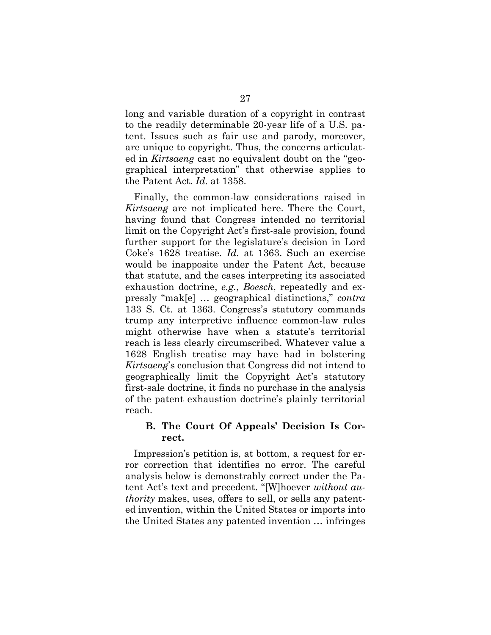long and variable duration of a copyright in contrast to the readily determinable 20-year life of a U.S. patent. Issues such as fair use and parody, moreover, are unique to copyright. Thus, the concerns articulated in *Kirtsaeng* cast no equivalent doubt on the "geographical interpretation" that otherwise applies to the Patent Act. *Id.* at 1358.

Finally, the common-law considerations raised in *Kirtsaeng* are not implicated here. There the Court, having found that Congress intended no territorial limit on the Copyright Act's first-sale provision, found further support for the legislature's decision in Lord Coke's 1628 treatise. *Id.* at 1363. Such an exercise would be inapposite under the Patent Act, because that statute, and the cases interpreting its associated exhaustion doctrine, *e.g.*, *Boesch*, repeatedly and expressly "mak[e] … geographical distinctions," *contra*  133 S. Ct. at 1363. Congress's statutory commands trump any interpretive influence common-law rules might otherwise have when a statute's territorial reach is less clearly circumscribed. Whatever value a 1628 English treatise may have had in bolstering *Kirtsaeng*'s conclusion that Congress did not intend to geographically limit the Copyright Act's statutory first-sale doctrine, it finds no purchase in the analysis of the patent exhaustion doctrine's plainly territorial reach.

# **B. The Court Of Appeals' Decision Is Correct.**

Impression's petition is, at bottom, a request for error correction that identifies no error. The careful analysis below is demonstrably correct under the Patent Act's text and precedent. "[W]hoever *without authority* makes, uses, offers to sell, or sells any patented invention, within the United States or imports into the United States any patented invention … infringes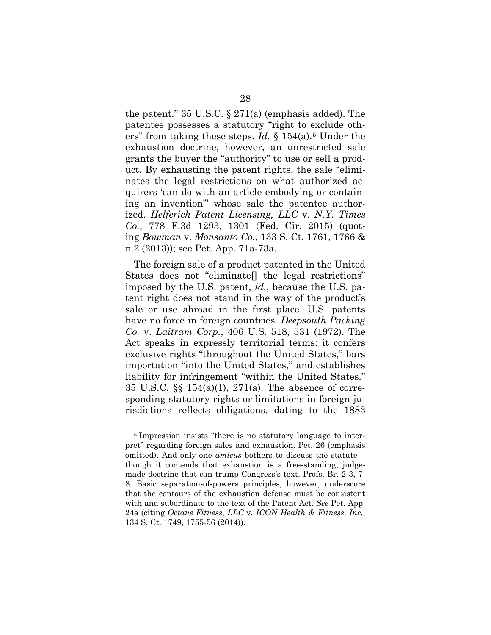the patent." 35 U.S.C. § 271(a) (emphasis added). The patentee possesses a statutory "right to exclude others" from taking these steps. *Id.* § 154(a).5 Under the exhaustion doctrine, however, an unrestricted sale grants the buyer the "authority" to use or sell a product. By exhausting the patent rights, the sale "eliminates the legal restrictions on what authorized acquirers 'can do with an article embodying or containing an invention'" whose sale the patentee authorized. *Helferich Patent Licensing, LLC* v. *N.Y. Times Co.*, 778 F.3d 1293, 1301 (Fed. Cir. 2015) (quoting *Bowman* v. *Monsanto Co.*, 133 S. Ct. 1761, 1766 & n.2 (2013)); see Pet. App. 71a-73a.

The foreign sale of a product patented in the United States does not "eliminate[] the legal restrictions" imposed by the U.S. patent, *id.*, because the U.S. patent right does not stand in the way of the product's sale or use abroad in the first place. U.S. patents have no force in foreign countries. *Deepsouth Packing Co.* v. *Laitram Corp.*, 406 U.S. 518, 531 (1972). The Act speaks in expressly territorial terms: it confers exclusive rights "throughout the United States," bars importation "into the United States," and establishes liability for infringement "within the United States." 35 U.S.C. §§ 154(a)(1), 271(a). The absence of corresponding statutory rights or limitations in foreign jurisdictions reflects obligations, dating to the 1883

 $\overline{a}$ 

<sup>5</sup> Impression insists "there is no statutory language to interpret" regarding foreign sales and exhaustion. Pet. 26 (emphasis omitted). And only one *amicus* bothers to discuss the statute though it contends that exhaustion is a free-standing, judgemade doctrine that can trump Congress's text. Profs. Br. 2-3, 7- 8. Basic separation-of-powers principles, however, underscore that the contours of the exhaustion defense must be consistent with and subordinate to the text of the Patent Act. *See* Pet. App. 24a (citing *Octane Fitness, LLC* v. *ICON Health & Fitness, Inc.*, 134 S. Ct. 1749, 1755-56 (2014)).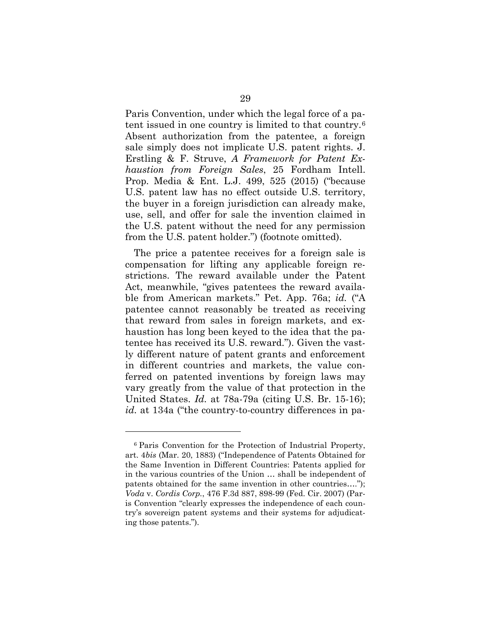Paris Convention, under which the legal force of a patent issued in one country is limited to that country.6 Absent authorization from the patentee, a foreign sale simply does not implicate U.S. patent rights. J. Erstling & F. Struve, *A Framework for Patent Exhaustion from Foreign Sales*, 25 Fordham Intell. Prop. Media & Ent. L.J. 499, 525 (2015) ("because U.S. patent law has no effect outside U.S. territory, the buyer in a foreign jurisdiction can already make, use, sell, and offer for sale the invention claimed in the U.S. patent without the need for any permission from the U.S. patent holder.") (footnote omitted).

The price a patentee receives for a foreign sale is compensation for lifting any applicable foreign restrictions. The reward available under the Patent Act, meanwhile, "gives patentees the reward available from American markets." Pet. App. 76a; *id.* ("A patentee cannot reasonably be treated as receiving that reward from sales in foreign markets, and exhaustion has long been keyed to the idea that the patentee has received its U.S. reward."). Given the vastly different nature of patent grants and enforcement in different countries and markets, the value conferred on patented inventions by foreign laws may vary greatly from the value of that protection in the United States. *Id.* at 78a-79a (citing U.S. Br. 15-16); *id.* at 134a ("the country-to-country differences in pa-

 $\overline{a}$ 

<sup>6</sup> Paris Convention for the Protection of Industrial Property, art. 4*bis* (Mar. 20, 1883) ("Independence of Patents Obtained for the Same Invention in Different Countries: Patents applied for in the various countries of the Union … shall be independent of patents obtained for the same invention in other countries…."); *Voda* v. *Cordis Corp.*, 476 F.3d 887, 898-99 (Fed. Cir. 2007) (Paris Convention "clearly expresses the independence of each country's sovereign patent systems and their systems for adjudicating those patents.").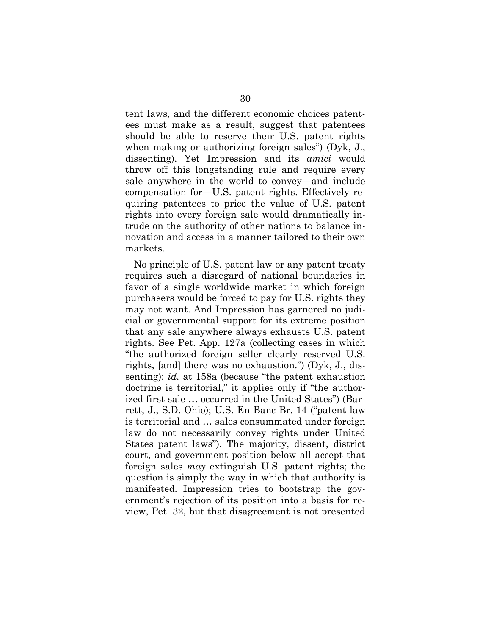tent laws, and the different economic choices patentees must make as a result, suggest that patentees should be able to reserve their U.S. patent rights when making or authorizing foreign sales") (Dyk, J., dissenting). Yet Impression and its *amici* would throw off this longstanding rule and require every sale anywhere in the world to convey—and include compensation for—U.S. patent rights. Effectively requiring patentees to price the value of U.S. patent rights into every foreign sale would dramatically intrude on the authority of other nations to balance innovation and access in a manner tailored to their own markets.

No principle of U.S. patent law or any patent treaty requires such a disregard of national boundaries in favor of a single worldwide market in which foreign purchasers would be forced to pay for U.S. rights they may not want. And Impression has garnered no judicial or governmental support for its extreme position that any sale anywhere always exhausts U.S. patent rights. See Pet. App. 127a (collecting cases in which "the authorized foreign seller clearly reserved U.S. rights, [and] there was no exhaustion.") (Dyk, J., dissenting); *id.* at 158a (because "the patent exhaustion doctrine is territorial," it applies only if "the authorized first sale … occurred in the United States") (Barrett, J., S.D. Ohio); U.S. En Banc Br. 14 ("patent law is territorial and … sales consummated under foreign law do not necessarily convey rights under United States patent laws"). The majority, dissent, district court, and government position below all accept that foreign sales *may* extinguish U.S. patent rights; the question is simply the way in which that authority is manifested. Impression tries to bootstrap the government's rejection of its position into a basis for review, Pet. 32, but that disagreement is not presented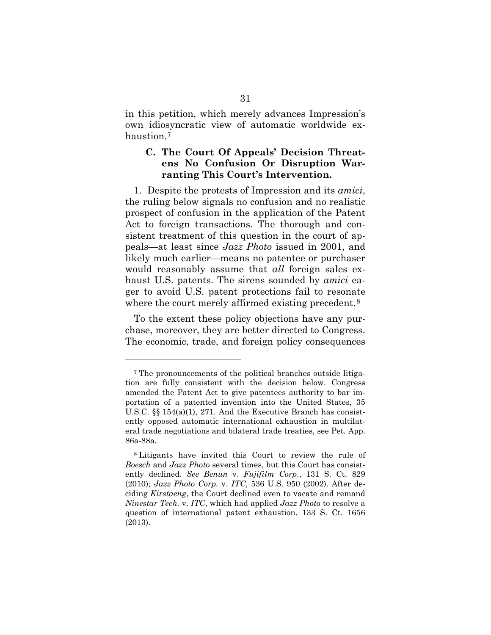in this petition, which merely advances Impression's own idiosyncratic view of automatic worldwide exhaustion.<sup>7</sup>

# **C. The Court Of Appeals' Decision Threatens No Confusion Or Disruption Warranting This Court's Intervention.**

1. Despite the protests of Impression and its *amici*, the ruling below signals no confusion and no realistic prospect of confusion in the application of the Patent Act to foreign transactions. The thorough and consistent treatment of this question in the court of appeals—at least since *Jazz Photo* issued in 2001, and likely much earlier—means no patentee or purchaser would reasonably assume that *all* foreign sales exhaust U.S. patents. The sirens sounded by *amici* eager to avoid U.S. patent protections fail to resonate where the court merely affirmed existing precedent.<sup>8</sup>

To the extent these policy objections have any purchase, moreover, they are better directed to Congress. The economic, trade, and foreign policy consequences

 $\overline{a}$ 

<sup>7</sup> The pronouncements of the political branches outside litigation are fully consistent with the decision below. Congress amended the Patent Act to give patentees authority to bar importation of a patented invention into the United States, 35 U.S.C.  $\S$  154(a)(1), 271. And the Executive Branch has consistently opposed automatic international exhaustion in multilateral trade negotiations and bilateral trade treaties, see Pet. App. 86a-88a.

<sup>8</sup> Litigants have invited this Court to review the rule of *Boesch* and *Jazz Photo* several times, but this Court has consistently declined. *See Benun* v. *Fujifilm Corp.*, 131 S. Ct. 829 (2010); *Jazz Photo Corp.* v. *ITC*, 536 U.S. 950 (2002). After deciding *Kirstaeng*, the Court declined even to vacate and remand *Ninestar Tech.* v. *ITC*, which had applied *Jazz Photo* to resolve a question of international patent exhaustion. 133 S. Ct. 1656 (2013).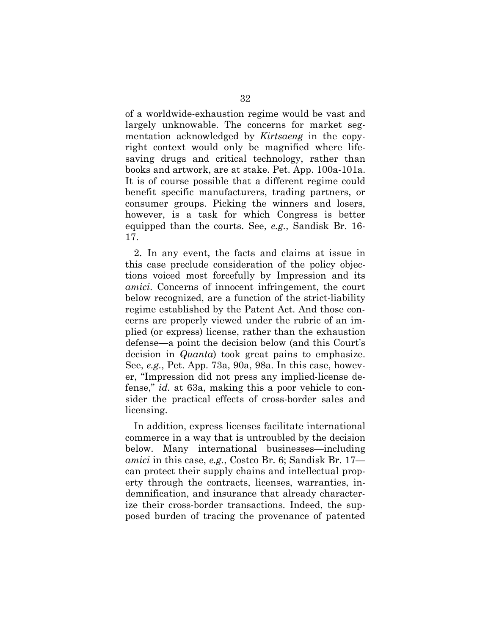of a worldwide-exhaustion regime would be vast and largely unknowable. The concerns for market segmentation acknowledged by *Kirtsaeng* in the copyright context would only be magnified where lifesaving drugs and critical technology, rather than books and artwork, are at stake. Pet. App. 100a-101a. It is of course possible that a different regime could benefit specific manufacturers, trading partners, or consumer groups. Picking the winners and losers, however, is a task for which Congress is better equipped than the courts. See, *e.g.*, Sandisk Br. 16- 17.

2. In any event, the facts and claims at issue in this case preclude consideration of the policy objections voiced most forcefully by Impression and its *amici*. Concerns of innocent infringement, the court below recognized, are a function of the strict-liability regime established by the Patent Act. And those concerns are properly viewed under the rubric of an implied (or express) license, rather than the exhaustion defense—a point the decision below (and this Court's decision in *Quanta*) took great pains to emphasize. See, *e.g.*, Pet. App. 73a, 90a, 98a. In this case, however, "Impression did not press any implied-license defense," *id.* at 63a, making this a poor vehicle to consider the practical effects of cross-border sales and licensing.

In addition, express licenses facilitate international commerce in a way that is untroubled by the decision below. Many international businesses—including *amici* in this case, *e.g.*, Costco Br. 6; Sandisk Br. 17 can protect their supply chains and intellectual property through the contracts, licenses, warranties, indemnification, and insurance that already characterize their cross-border transactions. Indeed, the supposed burden of tracing the provenance of patented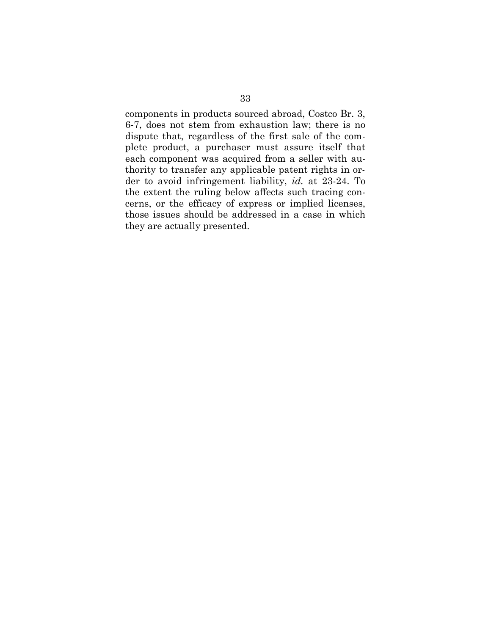components in products sourced abroad, Costco Br. 3, 6-7, does not stem from exhaustion law; there is no dispute that, regardless of the first sale of the complete product, a purchaser must assure itself that each component was acquired from a seller with authority to transfer any applicable patent rights in order to avoid infringement liability, *id.* at 23-24. To the extent the ruling below affects such tracing concerns, or the efficacy of express or implied licenses, those issues should be addressed in a case in which they are actually presented.